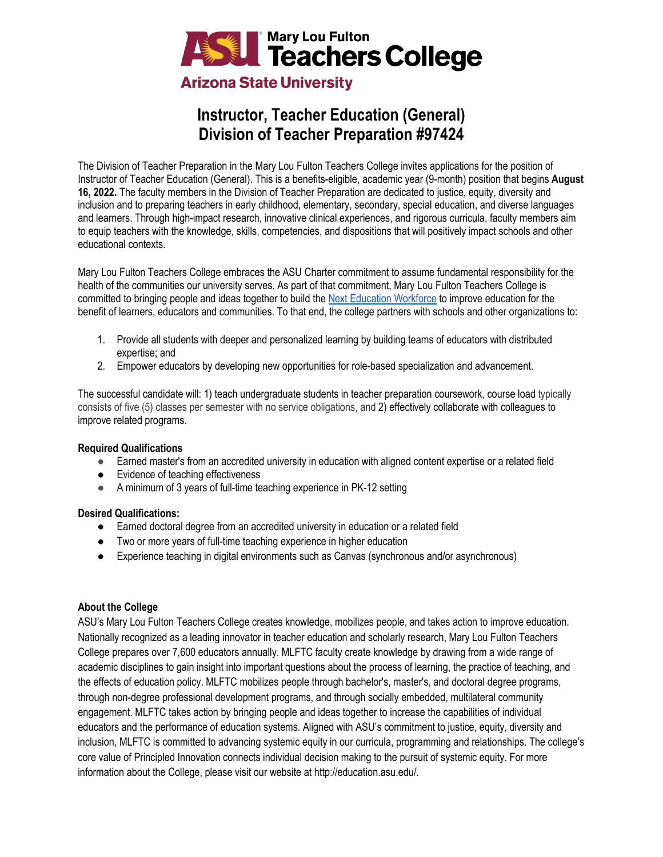

# **Instructor, Teacher Education (General) Division of Teacher Preparation #97424**

The Division of Teacher Preparation in the Mary Lou Fulton Teachers College invites applications for the position of Instructor of Teacher Education (General). This is a benefits-eligible, academic year (9-month) position that begins **August 16, 2022.** The faculty members in the Division of Teacher Preparation are dedicated to justice, equity, diversity and inclusion and to preparing teachers in early childhood, elementary, secondary, special education, and diverse languages and learners. Through high-impact research, innovative clinical experiences, and rigorous curricula, faculty members aim to equip teachers with the knowledge, skills, competencies, and dispositions that will positively impact schools and other educational contexts.

Mary Lou Fulton Teachers College embraces the ASU Charter commitment to assume fundamental responsibility for the health of the communities our university serves. As part of that commitment, Mary Lou Fulton Teachers College is committed to bringing people and ideas together to build the [Next Education Workforce](https://workforce.education.asu.edu/?utm_source=mlftc&utm_medium=redirect&utm_campaign=top_nav) to improve education for the benefit of learners, educators and communities. To that end, the college partners with schools and other organizations to:

- 1. Provide all students with deeper and personalized learning by building teams of educators with distributed expertise; and
- 2. Empower educators by developing new opportunities for role-based specialization and advancement.

The successful candidate will: 1) teach undergraduate students in teacher preparation coursework, course load typically consists of five (5) classes per semester with no service obligations, and 2) effectively collaborate with colleagues to improve related programs.

#### **Required Qualifications**

- Earned master's from an accredited university in education with aligned content expertise or a related field
- Evidence of teaching effectiveness
- A minimum of 3 years of full-time teaching experience in PK-12 setting

#### **Desired Qualifications:**

- Earned doctoral degree from an accredited university in education or a related field
- Two or more years of full-time teaching experience in higher education
- Experience teaching in digital environments such as Canvas (synchronous and/or asynchronous)

# **About the College**

ASU's Mary Lou Fulton Teachers College creates knowledge, mobilizes people, and takes action to improve education. Nationally recognized as a leading innovator in teacher education and scholarly research, Mary Lou Fulton Teachers College prepares over 7,600 educators annually. MLFTC faculty create knowledge by drawing from a wide range of academic disciplines to gain insight into important questions about the process of learning, the practice of teaching, and the effects of education policy. MLFTC mobilizes people through bachelor's, master's, and doctoral degree programs, through non-degree professional development programs, and through socially embedded, multilateral community engagement. MLFTC takes action by bringing people and ideas together to increase the capabilities of individual educators and the performance of education systems. Aligned with ASU's commitment to justice, equity, diversity and inclusion, MLFTC is committed to advancing systemic equity in our curricula, programming and relationships. The college's core value of Principled Innovation connects individual decision making to the pursuit of systemic equity. For more information about the College, please visit our website at http://education.asu.edu/.